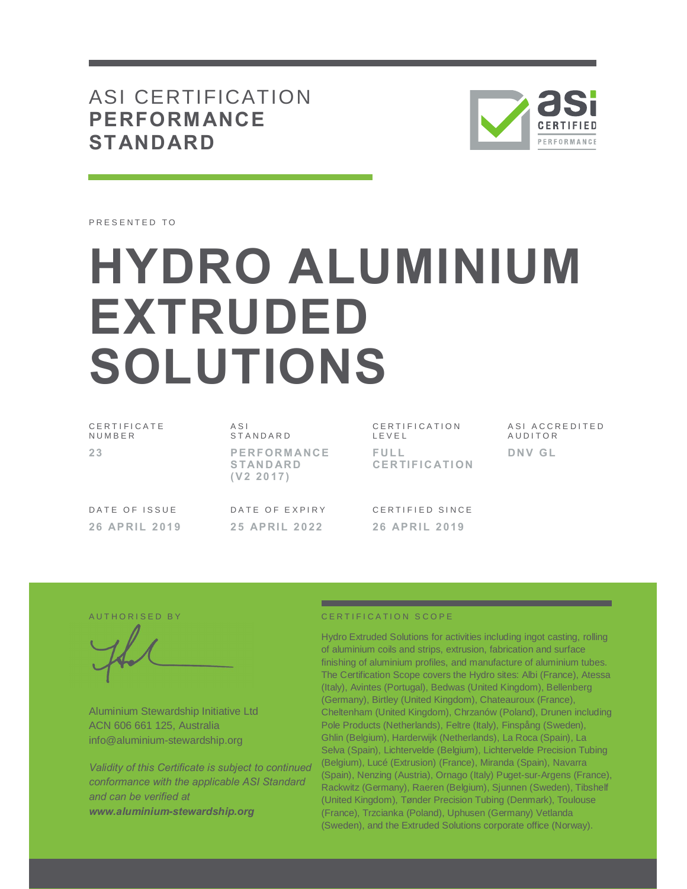# ASI CERTIFICATION **PERFORM ANCE STANDARD**



PRESENTED TO

# **HYDRO ALUMINIUM EXTRUDED SOLUTIONS**

| CERTIFICATE   | A S I                                              | CERTIFICATION                |
|---------------|----------------------------------------------------|------------------------------|
| NUMBER        | STANDARD                                           | LEVEL                        |
| 23            | <b>PERFORMANCE</b><br><b>STANDARD</b><br>(V2 2017) | FULL<br><b>CERTIFICATION</b> |
| DATE OF ISSUE | DATE OF EXPIRY                                     | CERTIFIED SINCE              |
| 26 APRIL 2019 | 25 APRIL 2022                                      | 26 APRIL 2019                |

T I F I C A T I O N  $F I$  $\mathbf{F}$ **CE R TI F I C A TI ON** A S I A C C R E D I T E D A U D I T O R **DNV GL** 

Aluminium Stewardship Initiative Ltd ACN 606 661 125, Australia info@aluminium-stewardship.org

*Validity of this Certificate is subject to continued conformance with the applicable ASI Standard and can be verified at www.aluminium-stewardship.org*

#### A UT HORISED BY A RESERVE TO CERTIFICATION SCOPE

Hydro Extruded Solutions for activities including ingot casting, rolling of aluminium coils and strips, extrusion, fabrication and surface finishing of aluminium profiles, and manufacture of aluminium tubes. The Certification Scope covers the Hydro sites: Albi (France), Atessa (Italy), Avintes (Portugal), Bedwas (United Kingdom), Bellenberg (Germany), Birtley (United Kingdom), Chateauroux (France), Cheltenham (United Kingdom), Chrzanów (Poland), Drunen including Pole Products (Netherlands), Feltre (Italy), Finspång (Sweden), Ghlin (Belgium), Harderwijk (Netherlands), La Roca (Spain), La Selva (Spain), Lichtervelde (Belgium), Lichtervelde Precision Tubing (Belgium), Lucé (Extrusion) (France), Miranda (Spain), Navarra (Spain), Nenzing (Austria), Ornago (Italy) Puget-sur-Argens (France), Rackwitz (Germany), Raeren (Belgium), Sjunnen (Sweden), Tibshelf (United Kingdom), Tønder Precision Tubing (Denmark), Toulouse (France), Trzcianka (Poland), Uphusen (Germany) Vetlanda (Sweden), and the Extruded Solutions corporate office (Norway).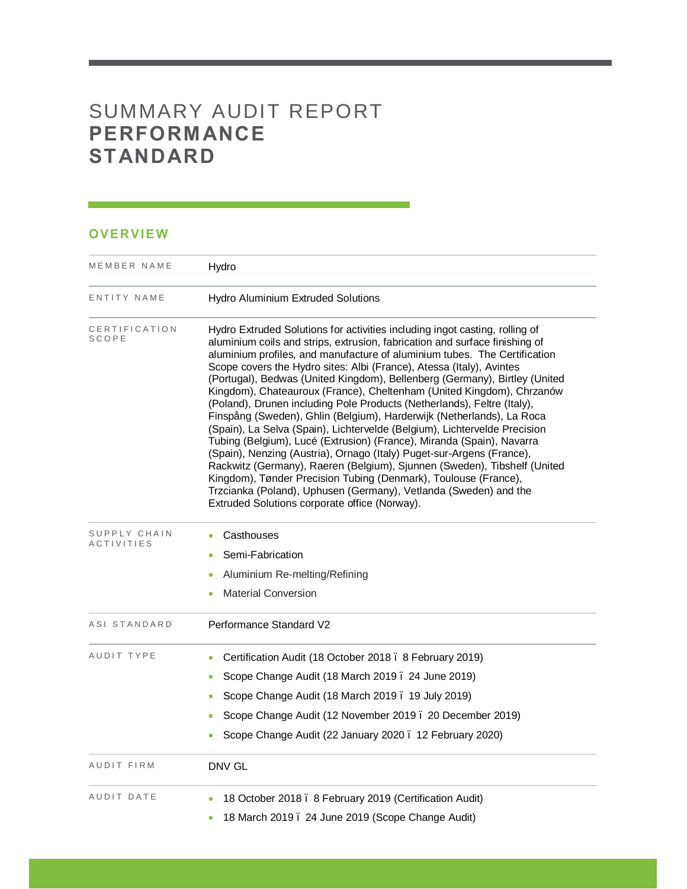# SUMMARY AUDIT REPORT **PERFORM ANCE STANDARD**

# **OVERVIE W**

| MEMBER NAME                       | Hydro                                                                                                                                                                                                                                                                                                                                                                                                                                                                                                                                                                                                                                                                                                                                                                                                                                                                                                                                                                                                                                                                                                                         |  |  |
|-----------------------------------|-------------------------------------------------------------------------------------------------------------------------------------------------------------------------------------------------------------------------------------------------------------------------------------------------------------------------------------------------------------------------------------------------------------------------------------------------------------------------------------------------------------------------------------------------------------------------------------------------------------------------------------------------------------------------------------------------------------------------------------------------------------------------------------------------------------------------------------------------------------------------------------------------------------------------------------------------------------------------------------------------------------------------------------------------------------------------------------------------------------------------------|--|--|
| ENTITY NAME                       | <b>Hydro Aluminium Extruded Solutions</b>                                                                                                                                                                                                                                                                                                                                                                                                                                                                                                                                                                                                                                                                                                                                                                                                                                                                                                                                                                                                                                                                                     |  |  |
| CERTIFICATION<br><b>SCOPE</b>     | Hydro Extruded Solutions for activities including ingot casting, rolling of<br>aluminium coils and strips, extrusion, fabrication and surface finishing of<br>aluminium profiles, and manufacture of aluminium tubes. The Certification<br>Scope covers the Hydro sites: Albi (France), Atessa (Italy), Avintes<br>(Portugal), Bedwas (United Kingdom), Bellenberg (Germany), Birtley (United<br>Kingdom), Chateauroux (France), Cheltenham (United Kingdom), Chrzanów<br>(Poland), Drunen including Pole Products (Netherlands), Feltre (Italy),<br>Finspång (Sweden), Ghlin (Belgium), Harderwijk (Netherlands), La Roca<br>(Spain), La Selva (Spain), Lichtervelde (Belgium), Lichtervelde Precision<br>Tubing (Belgium), Lucé (Extrusion) (France), Miranda (Spain), Navarra<br>(Spain), Nenzing (Austria), Ornago (Italy) Puget-sur-Argens (France),<br>Rackwitz (Germany), Raeren (Belgium), Sjunnen (Sweden), Tibshelf (United<br>Kingdom), Tønder Precision Tubing (Denmark), Toulouse (France),<br>Trzcianka (Poland), Uphusen (Germany), Vetlanda (Sweden) and the<br>Extruded Solutions corporate office (Norway). |  |  |
| SUPPLY CHAIN<br><b>ACTIVITIES</b> | Casthouses<br>۰<br>Semi-Fabrication<br>۰<br>Aluminium Re-melting/Refining                                                                                                                                                                                                                                                                                                                                                                                                                                                                                                                                                                                                                                                                                                                                                                                                                                                                                                                                                                                                                                                     |  |  |
| ASI STANDARD                      | <b>Material Conversion</b><br>Performance Standard V2                                                                                                                                                                                                                                                                                                                                                                                                                                                                                                                                                                                                                                                                                                                                                                                                                                                                                                                                                                                                                                                                         |  |  |
| AUDIT TYPE                        | Certification Audit (18 October 2018 . 8 February 2019)<br>۰<br>Scope Change Audit (18 March 2019 . 24 June 2019)<br>۰<br>Scope Change Audit (18 March 2019 . 19 July 2019)<br>Scope Change Audit (12 November 2019 . 20 December 2019)<br>Scope Change Audit (22 January 2020 . 12 February 2020)                                                                                                                                                                                                                                                                                                                                                                                                                                                                                                                                                                                                                                                                                                                                                                                                                            |  |  |
| AUDIT FIRM                        | DNV GL                                                                                                                                                                                                                                                                                                                                                                                                                                                                                                                                                                                                                                                                                                                                                                                                                                                                                                                                                                                                                                                                                                                        |  |  |
| AUDIT DATE                        | 18 October 2018 . 8 February 2019 (Certification Audit)<br>۰<br>18 March 2019. 24 June 2019 (Scope Change Audit)<br>٠                                                                                                                                                                                                                                                                                                                                                                                                                                                                                                                                                                                                                                                                                                                                                                                                                                                                                                                                                                                                         |  |  |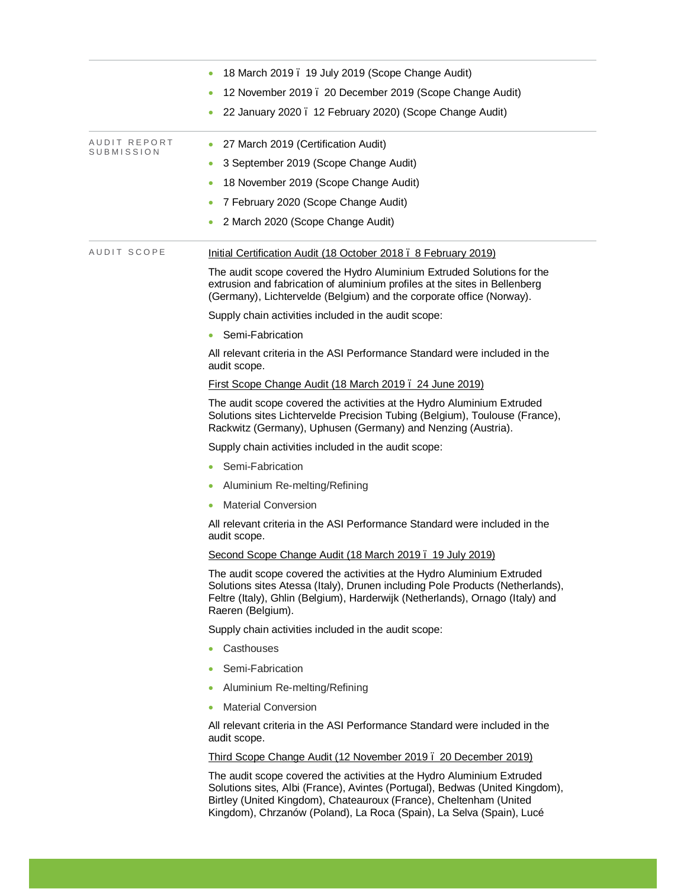|                            | 18 March 2019. 19 July 2019 (Scope Change Audit)                                                                                                                                                                                                                                                     |
|----------------------------|------------------------------------------------------------------------------------------------------------------------------------------------------------------------------------------------------------------------------------------------------------------------------------------------------|
|                            | 12 November 2019. 20 December 2019 (Scope Change Audit)<br>۰                                                                                                                                                                                                                                         |
|                            | 22 January 2020. 12 February 2020) (Scope Change Audit)                                                                                                                                                                                                                                              |
| AUDIT REPORT<br>SUBMISSION | 27 March 2019 (Certification Audit)                                                                                                                                                                                                                                                                  |
|                            | 3 September 2019 (Scope Change Audit)<br>۰                                                                                                                                                                                                                                                           |
|                            | 18 November 2019 (Scope Change Audit)                                                                                                                                                                                                                                                                |
|                            | 7 February 2020 (Scope Change Audit)<br>۰                                                                                                                                                                                                                                                            |
|                            | 2 March 2020 (Scope Change Audit)                                                                                                                                                                                                                                                                    |
| AUDIT SCOPE                | Initial Certification Audit (18 October 2018 . 8 February 2019)                                                                                                                                                                                                                                      |
|                            | The audit scope covered the Hydro Aluminium Extruded Solutions for the<br>extrusion and fabrication of aluminium profiles at the sites in Bellenberg<br>(Germany), Lichtervelde (Belgium) and the corporate office (Norway).                                                                         |
|                            | Supply chain activities included in the audit scope:                                                                                                                                                                                                                                                 |
|                            | Semi-Fabrication                                                                                                                                                                                                                                                                                     |
|                            | All relevant criteria in the ASI Performance Standard were included in the<br>audit scope.                                                                                                                                                                                                           |
|                            | First Scope Change Audit (18 March 2019. 24 June 2019)                                                                                                                                                                                                                                               |
|                            | The audit scope covered the activities at the Hydro Aluminium Extruded<br>Solutions sites Lichtervelde Precision Tubing (Belgium), Toulouse (France),<br>Rackwitz (Germany), Uphusen (Germany) and Nenzing (Austria).                                                                                |
|                            | Supply chain activities included in the audit scope:                                                                                                                                                                                                                                                 |
|                            | Semi-Fabrication                                                                                                                                                                                                                                                                                     |
|                            | Aluminium Re-melting/Refining<br>۰                                                                                                                                                                                                                                                                   |
|                            | <b>Material Conversion</b><br>۰                                                                                                                                                                                                                                                                      |
|                            | All relevant criteria in the ASI Performance Standard were included in the<br>audit scope.                                                                                                                                                                                                           |
|                            | Second Scope Change Audit (18 March 2019. 19 July 2019)                                                                                                                                                                                                                                              |
|                            | The audit scope covered the activities at the Hydro Aluminium Extruded<br>Solutions sites Atessa (Italy), Drunen including Pole Products (Netherlands),<br>Feltre (Italy), Ghlin (Belgium), Harderwijk (Netherlands), Ornago (Italy) and<br>Raeren (Belgium).                                        |
|                            | Supply chain activities included in the audit scope:                                                                                                                                                                                                                                                 |
|                            | Casthouses                                                                                                                                                                                                                                                                                           |
|                            | Semi-Fabrication                                                                                                                                                                                                                                                                                     |
|                            | Aluminium Re-melting/Refining                                                                                                                                                                                                                                                                        |
|                            | <b>Material Conversion</b><br>۰                                                                                                                                                                                                                                                                      |
|                            | All relevant criteria in the ASI Performance Standard were included in the<br>audit scope.                                                                                                                                                                                                           |
|                            | Third Scope Change Audit (12 November 2019 . 20 December 2019)                                                                                                                                                                                                                                       |
|                            | The audit scope covered the activities at the Hydro Aluminium Extruded<br>Solutions sites, Albi (France), Avintes (Portugal), Bedwas (United Kingdom),<br>Birtley (United Kingdom), Chateauroux (France), Cheltenham (United<br>Kingdom), Chrzanów (Poland), La Roca (Spain), La Selva (Spain), Lucé |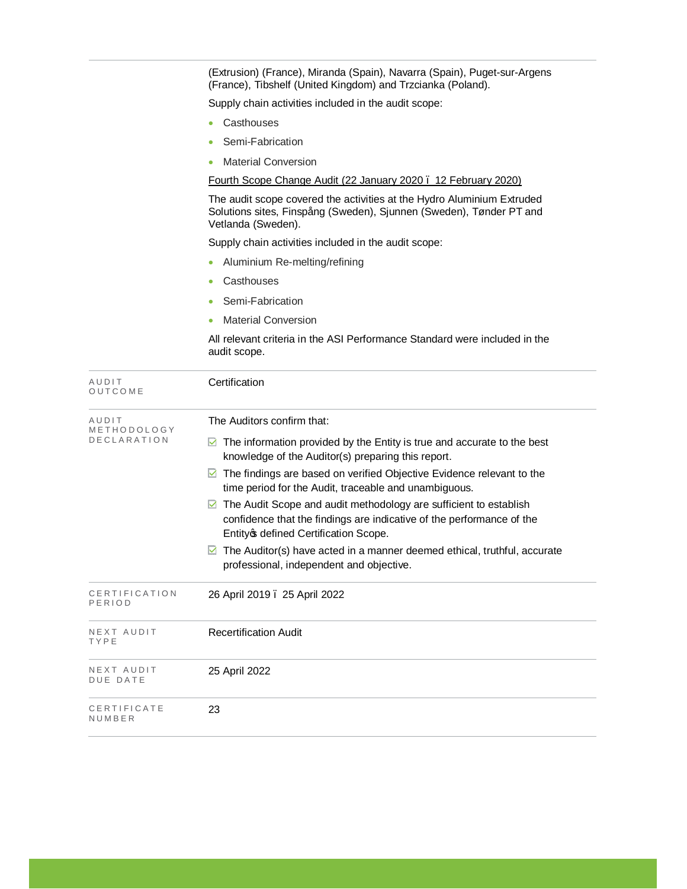(Extrusion) (France), Miranda (Spain), Navarra (Spain), Puget-sur-Argens (France), Tibshelf (United Kingdom) and Trzcianka (Poland).

Supply chain activities included in the audit scope:

- · Casthouses
- Semi-Fabrication
- · Material Conversion

Fourth Scope Change Audit (22 January 2020 – 12 February 2020)

The audit scope covered the activities at the Hydro Aluminium Extruded Solutions sites, Finspång (Sweden), Sjunnen (Sweden), Tønder PT and Vetlanda (Sweden).

Supply chain activities included in the audit scope:

- Aluminium Re-melting/refining
- · Casthouses
- Semi-Fabrication
- · Material Conversion

All relevant criteria in the ASI Performance Standard were included in the audit scope.

| AUDIT<br>OUTCOME                           | Certification                                                                                                                                                                                                                                                                                                                                                                                                                                                                                                                                                                                                                |
|--------------------------------------------|------------------------------------------------------------------------------------------------------------------------------------------------------------------------------------------------------------------------------------------------------------------------------------------------------------------------------------------------------------------------------------------------------------------------------------------------------------------------------------------------------------------------------------------------------------------------------------------------------------------------------|
| AUDIT<br>METHODOLOGY<br><b>DECLARATION</b> | The Auditors confirm that:<br>The information provided by the Entity is true and accurate to the best<br>M<br>knowledge of the Auditor(s) preparing this report.<br>The findings are based on verified Objective Evidence relevant to the<br>⊻<br>time period for the Audit, traceable and unambiguous.<br>The Audit Scope and audit methodology are sufficient to establish<br>confidence that the findings are indicative of the performance of the<br>Entity of defined Certification Scope.<br>The Auditor(s) have acted in a manner deemed ethical, truthful, accurate<br>M<br>professional, independent and objective. |
| CERTIFICATION<br>PERIOD                    | 26 April 2019 . 25 April 2022                                                                                                                                                                                                                                                                                                                                                                                                                                                                                                                                                                                                |
| NEXT AUDIT<br>TYPE                         | <b>Recertification Audit</b>                                                                                                                                                                                                                                                                                                                                                                                                                                                                                                                                                                                                 |
| NEXT AUDIT<br><b>DUE DATE</b>              | 25 April 2022                                                                                                                                                                                                                                                                                                                                                                                                                                                                                                                                                                                                                |
| CERTIFICATE<br>NUMBER                      | 23                                                                                                                                                                                                                                                                                                                                                                                                                                                                                                                                                                                                                           |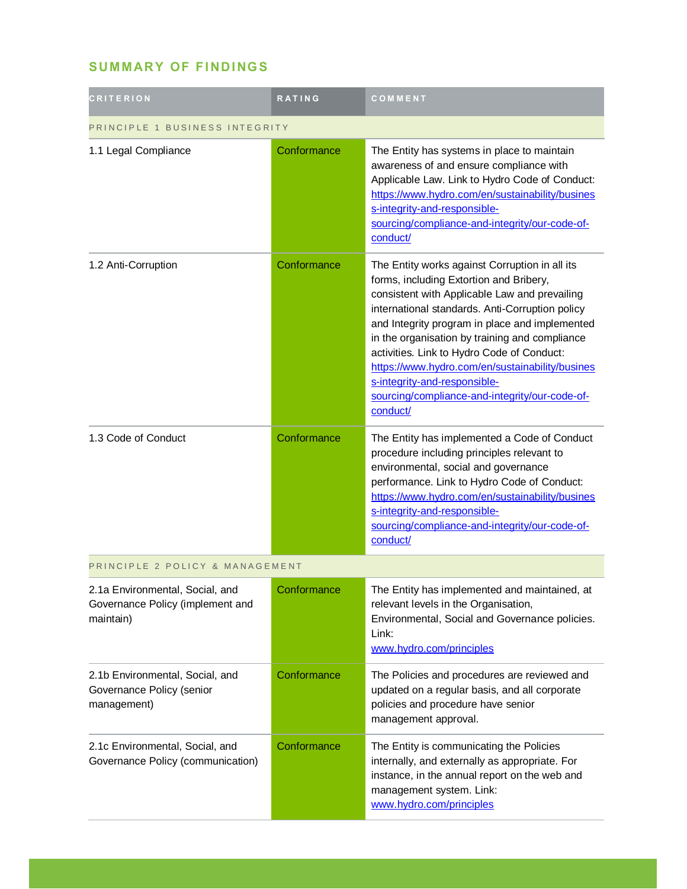# **SUMMARY OF FINDINGS**

| <b>CRITERION</b>                                                                 | <b>RATING</b> | COMMENT                                                                                                                                                                                                                                                                                                                                                                                                                                                                                          |  |
|----------------------------------------------------------------------------------|---------------|--------------------------------------------------------------------------------------------------------------------------------------------------------------------------------------------------------------------------------------------------------------------------------------------------------------------------------------------------------------------------------------------------------------------------------------------------------------------------------------------------|--|
| PRINCIPLE 1 BUSINESS INTEGRITY                                                   |               |                                                                                                                                                                                                                                                                                                                                                                                                                                                                                                  |  |
| 1.1 Legal Compliance                                                             | Conformance   | The Entity has systems in place to maintain<br>awareness of and ensure compliance with<br>Applicable Law. Link to Hydro Code of Conduct:<br>https://www.hydro.com/en/sustainability/busines<br>s-integrity-and-responsible-<br>sourcing/compliance-and-integrity/our-code-of-<br>conduct/                                                                                                                                                                                                        |  |
| 1.2 Anti-Corruption                                                              | Conformance   | The Entity works against Corruption in all its<br>forms, including Extortion and Bribery,<br>consistent with Applicable Law and prevailing<br>international standards. Anti-Corruption policy<br>and Integrity program in place and implemented<br>in the organisation by training and compliance<br>activities. Link to Hydro Code of Conduct:<br>https://www.hydro.com/en/sustainability/busines<br>s-integrity-and-responsible-<br>sourcing/compliance-and-integrity/our-code-of-<br>conduct/ |  |
| 1.3 Code of Conduct                                                              | Conformance   | The Entity has implemented a Code of Conduct<br>procedure including principles relevant to<br>environmental, social and governance<br>performance. Link to Hydro Code of Conduct:<br>https://www.hydro.com/en/sustainability/busines<br>s-integrity-and-responsible-<br>sourcing/compliance-and-integrity/our-code-of-<br>conduct/                                                                                                                                                               |  |
| PRINCIPLE 2 POLICY & MANAGEMENT                                                  |               |                                                                                                                                                                                                                                                                                                                                                                                                                                                                                                  |  |
| 2.1a Environmental, Social, and<br>Governance Policy (implement and<br>maintain) | Conformance   | The Entity has implemented and maintained, at<br>relevant levels in the Organisation,<br>Environmental, Social and Governance policies.<br>Link:<br>www.hydro.com/principles                                                                                                                                                                                                                                                                                                                     |  |
| 2.1b Environmental, Social, and<br>Governance Policy (senior<br>management)      | Conformance   | The Policies and procedures are reviewed and<br>updated on a regular basis, and all corporate<br>policies and procedure have senior<br>management approval.                                                                                                                                                                                                                                                                                                                                      |  |
| 2.1c Environmental, Social, and<br>Governance Policy (communication)             | Conformance   | The Entity is communicating the Policies<br>internally, and externally as appropriate. For<br>instance, in the annual report on the web and<br>management system. Link:<br>www.hydro.com/principles                                                                                                                                                                                                                                                                                              |  |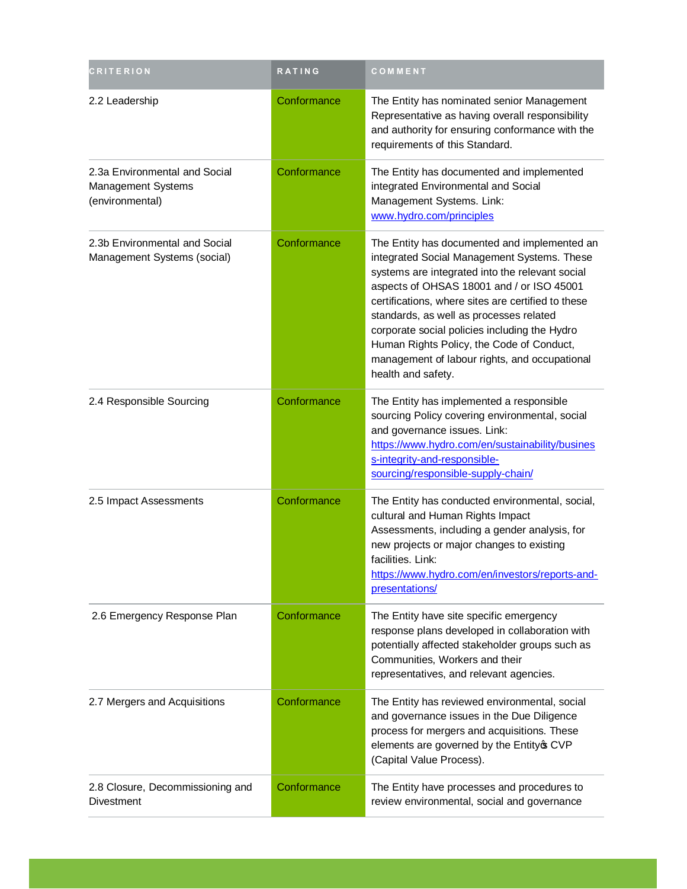| <b>CRITERION</b>                                                       | RATING      | COMMENT                                                                                                                                                                                                                                                                                                                                                                                                                                                           |
|------------------------------------------------------------------------|-------------|-------------------------------------------------------------------------------------------------------------------------------------------------------------------------------------------------------------------------------------------------------------------------------------------------------------------------------------------------------------------------------------------------------------------------------------------------------------------|
| 2.2 Leadership                                                         | Conformance | The Entity has nominated senior Management<br>Representative as having overall responsibility<br>and authority for ensuring conformance with the<br>requirements of this Standard.                                                                                                                                                                                                                                                                                |
| 2.3a Environmental and Social<br>Management Systems<br>(environmental) | Conformance | The Entity has documented and implemented<br>integrated Environmental and Social<br>Management Systems. Link:<br>www.hydro.com/principles                                                                                                                                                                                                                                                                                                                         |
| 2.3b Environmental and Social<br>Management Systems (social)           | Conformance | The Entity has documented and implemented an<br>integrated Social Management Systems. These<br>systems are integrated into the relevant social<br>aspects of OHSAS 18001 and / or ISO 45001<br>certifications, where sites are certified to these<br>standards, as well as processes related<br>corporate social policies including the Hydro<br>Human Rights Policy, the Code of Conduct,<br>management of labour rights, and occupational<br>health and safety. |
| 2.4 Responsible Sourcing                                               | Conformance | The Entity has implemented a responsible<br>sourcing Policy covering environmental, social<br>and governance issues. Link:<br>https://www.hydro.com/en/sustainability/busines<br>s-integrity-and-responsible-<br>sourcing/responsible-supply-chain/                                                                                                                                                                                                               |
| 2.5 Impact Assessments                                                 | Conformance | The Entity has conducted environmental, social,<br>cultural and Human Rights Impact<br>Assessments, including a gender analysis, for<br>new projects or major changes to existing<br>facilities. Link:<br>https://www.hydro.com/en/investors/reports-and-<br>presentations/                                                                                                                                                                                       |
| 2.6 Emergency Response Plan                                            | Conformance | The Entity have site specific emergency<br>response plans developed in collaboration with<br>potentially affected stakeholder groups such as<br>Communities, Workers and their<br>representatives, and relevant agencies.                                                                                                                                                                                                                                         |
| 2.7 Mergers and Acquisitions                                           | Conformance | The Entity has reviewed environmental, social<br>and governance issues in the Due Diligence<br>process for mergers and acquisitions. These<br>elements are governed by the Entity of CVP<br>(Capital Value Process).                                                                                                                                                                                                                                              |
| 2.8 Closure, Decommissioning and<br><b>Divestment</b>                  | Conformance | The Entity have processes and procedures to<br>review environmental, social and governance                                                                                                                                                                                                                                                                                                                                                                        |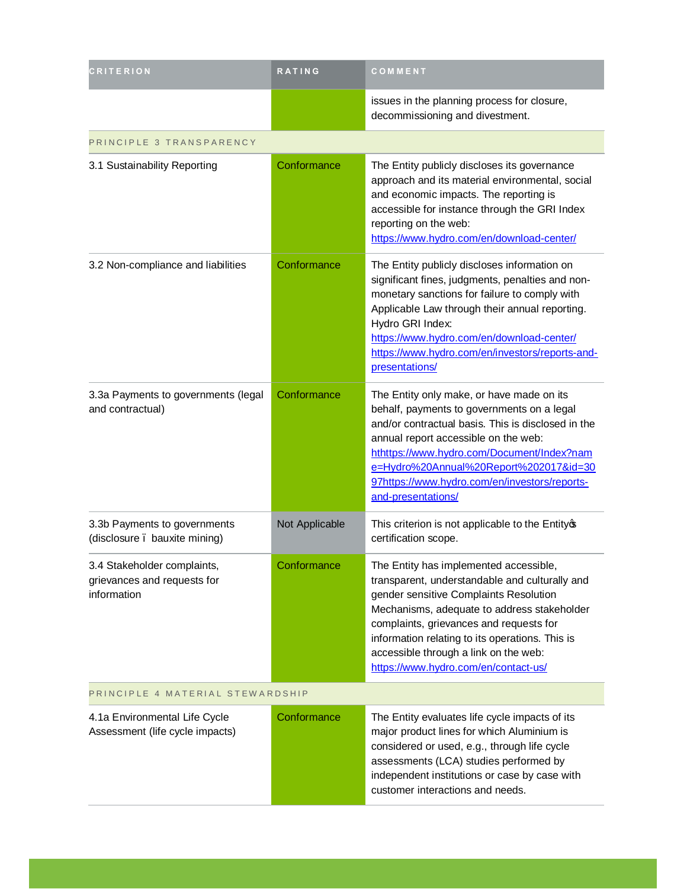| <b>CRITERION</b>                                                          | RATING         | COMMENT                                                                                                                                                                                                                                                                                                                                                          |  |
|---------------------------------------------------------------------------|----------------|------------------------------------------------------------------------------------------------------------------------------------------------------------------------------------------------------------------------------------------------------------------------------------------------------------------------------------------------------------------|--|
|                                                                           |                | issues in the planning process for closure,<br>decommissioning and divestment.                                                                                                                                                                                                                                                                                   |  |
| PRINCIPLE 3 TRANSPARENCY                                                  |                |                                                                                                                                                                                                                                                                                                                                                                  |  |
| 3.1 Sustainability Reporting                                              | Conformance    | The Entity publicly discloses its governance<br>approach and its material environmental, social<br>and economic impacts. The reporting is<br>accessible for instance through the GRI Index<br>reporting on the web:<br>https://www.hydro.com/en/download-center/                                                                                                 |  |
| 3.2 Non-compliance and liabilities                                        | Conformance    | The Entity publicly discloses information on<br>significant fines, judgments, penalties and non-<br>monetary sanctions for failure to comply with<br>Applicable Law through their annual reporting.<br>Hydro GRI Index:<br>https://www.hydro.com/en/download-center/<br>https://www.hydro.com/en/investors/reports-and-<br>presentations/                        |  |
| 3.3a Payments to governments (legal<br>and contractual)                   | Conformance    | The Entity only make, or have made on its<br>behalf, payments to governments on a legal<br>and/or contractual basis. This is disclosed in the<br>annual report accessible on the web:<br>hthttps://www.hydro.com/Document/Index?nam<br>e=Hydro%20Annual%20Report%202017&id=30<br>97https://www.hydro.com/en/investors/reports-<br>and-presentations/             |  |
| 3.3b Payments to governments<br>(disclosure . bauxite mining)             | Not Applicable | This criterion is not applicable to the Entityop<br>certification scope.                                                                                                                                                                                                                                                                                         |  |
| 3.4 Stakeholder complaints,<br>grievances and requests for<br>information | Conformance    | The Entity has implemented accessible,<br>transparent, understandable and culturally and<br>gender sensitive Complaints Resolution<br>Mechanisms, adequate to address stakeholder<br>complaints, grievances and requests for<br>information relating to its operations. This is<br>accessible through a link on the web:<br>https://www.hydro.com/en/contact-us/ |  |
| PRINCIPLE 4 MATERIAL STEWARDSHIP                                          |                |                                                                                                                                                                                                                                                                                                                                                                  |  |
| 4.1a Environmental Life Cycle<br>Assessment (life cycle impacts)          | Conformance    | The Entity evaluates life cycle impacts of its<br>major product lines for which Aluminium is<br>considered or used, e.g., through life cycle<br>assessments (LCA) studies performed by<br>independent institutions or case by case with<br>customer interactions and needs.                                                                                      |  |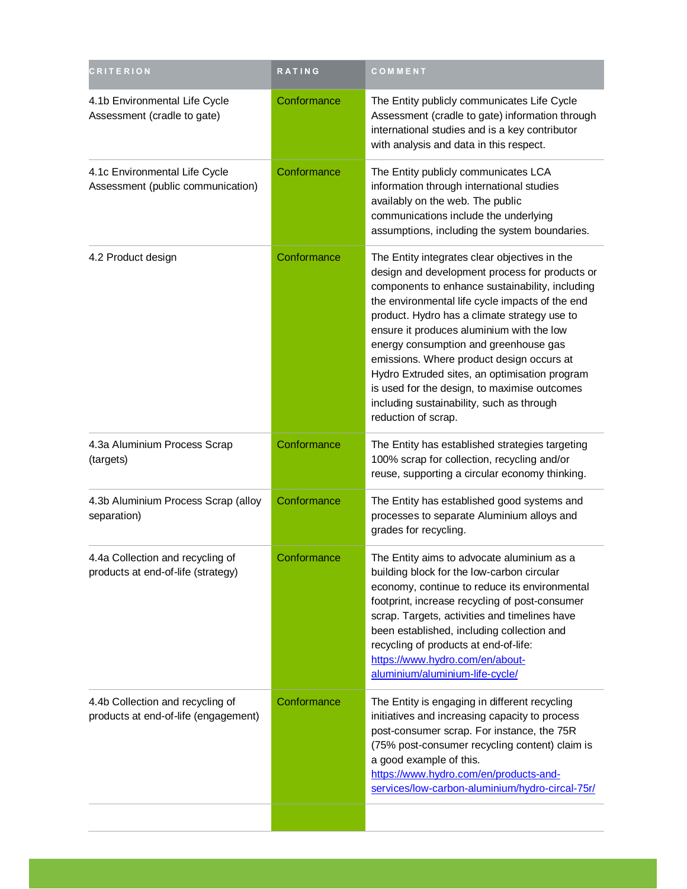| <b>CRITERION</b>                                                         | RATING      | COMMENT                                                                                                                                                                                                                                                                                                                                                                                                                                                                                                                                                       |
|--------------------------------------------------------------------------|-------------|---------------------------------------------------------------------------------------------------------------------------------------------------------------------------------------------------------------------------------------------------------------------------------------------------------------------------------------------------------------------------------------------------------------------------------------------------------------------------------------------------------------------------------------------------------------|
| 4.1b Environmental Life Cycle<br>Assessment (cradle to gate)             | Conformance | The Entity publicly communicates Life Cycle<br>Assessment (cradle to gate) information through<br>international studies and is a key contributor<br>with analysis and data in this respect.                                                                                                                                                                                                                                                                                                                                                                   |
| 4.1c Environmental Life Cycle<br>Assessment (public communication)       | Conformance | The Entity publicly communicates LCA<br>information through international studies<br>availably on the web. The public<br>communications include the underlying<br>assumptions, including the system boundaries.                                                                                                                                                                                                                                                                                                                                               |
| 4.2 Product design                                                       | Conformance | The Entity integrates clear objectives in the<br>design and development process for products or<br>components to enhance sustainability, including<br>the environmental life cycle impacts of the end<br>product. Hydro has a climate strategy use to<br>ensure it produces aluminium with the low<br>energy consumption and greenhouse gas<br>emissions. Where product design occurs at<br>Hydro Extruded sites, an optimisation program<br>is used for the design, to maximise outcomes<br>including sustainability, such as through<br>reduction of scrap. |
| 4.3a Aluminium Process Scrap<br>(targets)                                | Conformance | The Entity has established strategies targeting<br>100% scrap for collection, recycling and/or<br>reuse, supporting a circular economy thinking.                                                                                                                                                                                                                                                                                                                                                                                                              |
| 4.3b Aluminium Process Scrap (alloy<br>separation)                       | Conformance | The Entity has established good systems and<br>processes to separate Aluminium alloys and<br>grades for recycling.                                                                                                                                                                                                                                                                                                                                                                                                                                            |
| 4.4a Collection and recycling of<br>products at end-of-life (strategy)   | Conformance | The Entity aims to advocate aluminium as a<br>building block for the low-carbon circular<br>economy, continue to reduce its environmental<br>footprint, increase recycling of post-consumer<br>scrap. Targets, activities and timelines have<br>been established, including collection and<br>recycling of products at end-of-life:<br>https://www.hydro.com/en/about-<br>aluminium/aluminium-life-cycle/                                                                                                                                                     |
| 4.4b Collection and recycling of<br>products at end-of-life (engagement) | Conformance | The Entity is engaging in different recycling<br>initiatives and increasing capacity to process<br>post-consumer scrap. For instance, the 75R<br>(75% post-consumer recycling content) claim is<br>a good example of this.<br>https://www.hydro.com/en/products-and-<br>services/low-carbon-aluminium/hydro-circal-75r/                                                                                                                                                                                                                                       |
|                                                                          |             |                                                                                                                                                                                                                                                                                                                                                                                                                                                                                                                                                               |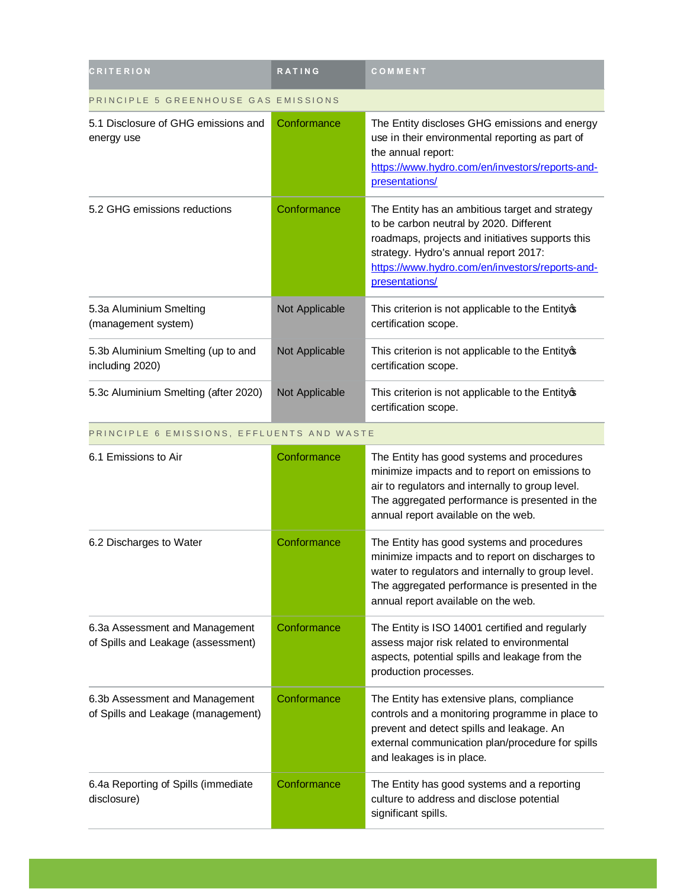| <b>CRITERION</b>                                      | <b>RATING</b>  | COMMENT                                                                                                                                                                                                                                                      |
|-------------------------------------------------------|----------------|--------------------------------------------------------------------------------------------------------------------------------------------------------------------------------------------------------------------------------------------------------------|
| PRINCIPLE 5 GREENHOUSE GAS EMISSIONS                  |                |                                                                                                                                                                                                                                                              |
| 5.1 Disclosure of GHG emissions and<br>energy use     | Conformance    | The Entity discloses GHG emissions and energy<br>use in their environmental reporting as part of<br>the annual report:<br>https://www.hydro.com/en/investors/reports-and-<br>presentations/                                                                  |
| 5.2 GHG emissions reductions                          | Conformance    | The Entity has an ambitious target and strategy<br>to be carbon neutral by 2020. Different<br>roadmaps, projects and initiatives supports this<br>strategy. Hydro's annual report 2017:<br>https://www.hydro.com/en/investors/reports-and-<br>presentations/ |
| 5.3a Aluminium Smelting<br>(management system)        | Not Applicable | This criterion is not applicable to the Entity of<br>certification scope.                                                                                                                                                                                    |
| 5.3b Aluminium Smelting (up to and<br>including 2020) | Not Applicable | This criterion is not applicable to the Entity of<br>certification scope.                                                                                                                                                                                    |
| 5.3c Aluminium Smelting (after 2020)                  | Not Applicable | This criterion is not applicable to the Entity of<br>certification scope.                                                                                                                                                                                    |

PRINCIPLE 6 EMISSIONS, EFFLUENTS AND WASTE

| 6.1 Emissions to Air                                                 | Conformance | The Entity has good systems and procedures<br>minimize impacts and to report on emissions to<br>air to regulators and internally to group level.<br>The aggregated performance is presented in the<br>annual report available on the web.    |
|----------------------------------------------------------------------|-------------|----------------------------------------------------------------------------------------------------------------------------------------------------------------------------------------------------------------------------------------------|
| 6.2 Discharges to Water                                              | Conformance | The Entity has good systems and procedures<br>minimize impacts and to report on discharges to<br>water to regulators and internally to group level.<br>The aggregated performance is presented in the<br>annual report available on the web. |
| 6.3a Assessment and Management<br>of Spills and Leakage (assessment) | Conformance | The Entity is ISO 14001 certified and regularly<br>assess major risk related to environmental<br>aspects, potential spills and leakage from the<br>production processes.                                                                     |
| 6.3b Assessment and Management<br>of Spills and Leakage (management) | Conformance | The Entity has extensive plans, compliance<br>controls and a monitoring programme in place to<br>prevent and detect spills and leakage. An<br>external communication plan/procedure for spills<br>and leakages is in place.                  |
| 6.4a Reporting of Spills (immediate<br>disclosure)                   | Conformance | The Entity has good systems and a reporting<br>culture to address and disclose potential<br>significant spills.                                                                                                                              |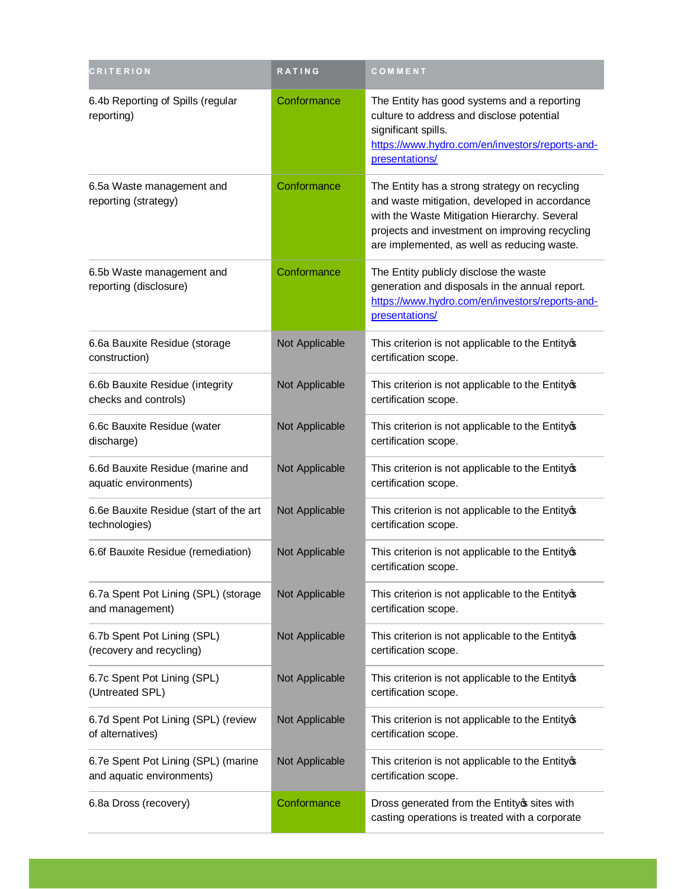| <b>CRITERION</b>                                                 | RATING         | COMMENT                                                                                                                                                                                                                                         |
|------------------------------------------------------------------|----------------|-------------------------------------------------------------------------------------------------------------------------------------------------------------------------------------------------------------------------------------------------|
| 6.4b Reporting of Spills (regular<br>reporting)                  | Conformance    | The Entity has good systems and a reporting<br>culture to address and disclose potential<br>significant spills.<br>https://www.hydro.com/en/investors/reports-and-<br>presentations/                                                            |
| 6.5a Waste management and<br>reporting (strategy)                | Conformance    | The Entity has a strong strategy on recycling<br>and waste mitigation, developed in accordance<br>with the Waste Mitigation Hierarchy. Several<br>projects and investment on improving recycling<br>are implemented, as well as reducing waste. |
| 6.5b Waste management and<br>reporting (disclosure)              | Conformance    | The Entity publicly disclose the waste<br>generation and disposals in the annual report.<br>https://www.hydro.com/en/investors/reports-and-<br>presentations/                                                                                   |
| 6.6a Bauxite Residue (storage<br>construction)                   | Not Applicable | This criterion is not applicable to the Entityos<br>certification scope.                                                                                                                                                                        |
| 6.6b Bauxite Residue (integrity<br>checks and controls)          | Not Applicable | This criterion is not applicable to the Entity of<br>certification scope.                                                                                                                                                                       |
| 6.6c Bauxite Residue (water<br>discharge)                        | Not Applicable | This criterion is not applicable to the Entityop<br>certification scope.                                                                                                                                                                        |
| 6.6d Bauxite Residue (marine and<br>aquatic environments)        | Not Applicable | This criterion is not applicable to the Entityos<br>certification scope.                                                                                                                                                                        |
| 6.6e Bauxite Residue (start of the art<br>technologies)          | Not Applicable | This criterion is not applicable to the Entityos<br>certification scope.                                                                                                                                                                        |
| 6.6f Bauxite Residue (remediation)                               | Not Applicable | This criterion is not applicable to the Entityop<br>certification scope.                                                                                                                                                                        |
| 6.7a Spent Pot Lining (SPL) (storage<br>and management)          | Not Applicable | This criterion is not applicable to the Entityos<br>certification scope.                                                                                                                                                                        |
| 6.7b Spent Pot Lining (SPL)<br>(recovery and recycling)          | Not Applicable | This criterion is not applicable to the Entity of<br>certification scope.                                                                                                                                                                       |
| 6.7c Spent Pot Lining (SPL)<br>(Untreated SPL)                   | Not Applicable | This criterion is not applicable to the Entity of<br>certification scope.                                                                                                                                                                       |
| 6.7d Spent Pot Lining (SPL) (review<br>of alternatives)          | Not Applicable | This criterion is not applicable to the Entity of<br>certification scope.                                                                                                                                                                       |
| 6.7e Spent Pot Lining (SPL) (marine<br>and aquatic environments) | Not Applicable | This criterion is not applicable to the Entityos<br>certification scope.                                                                                                                                                                        |
| 6.8a Dross (recovery)                                            | Conformance    | Dross generated from the Entity os sites with<br>casting operations is treated with a corporate                                                                                                                                                 |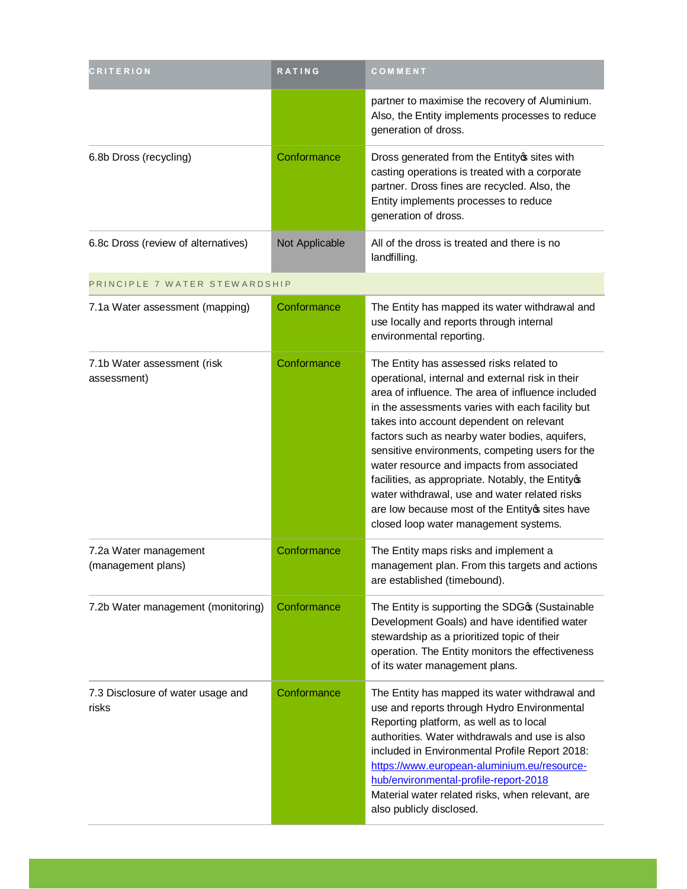| <b>CRITERION</b>                            | <b>RATING</b>  | COMMENT                                                                                                                                                                                                                                                                                                                                                                                                                                                                                                                                                                                                |
|---------------------------------------------|----------------|--------------------------------------------------------------------------------------------------------------------------------------------------------------------------------------------------------------------------------------------------------------------------------------------------------------------------------------------------------------------------------------------------------------------------------------------------------------------------------------------------------------------------------------------------------------------------------------------------------|
|                                             |                | partner to maximise the recovery of Aluminium.<br>Also, the Entity implements processes to reduce<br>generation of dross.                                                                                                                                                                                                                                                                                                                                                                                                                                                                              |
| 6.8b Dross (recycling)                      | Conformance    | Dross generated from the Entity os sites with<br>casting operations is treated with a corporate<br>partner. Dross fines are recycled. Also, the<br>Entity implements processes to reduce<br>generation of dross.                                                                                                                                                                                                                                                                                                                                                                                       |
| 6.8c Dross (review of alternatives)         | Not Applicable | All of the dross is treated and there is no<br>landfilling.                                                                                                                                                                                                                                                                                                                                                                                                                                                                                                                                            |
| PRINCIPLE 7 WATER STEWARDSHIP               |                |                                                                                                                                                                                                                                                                                                                                                                                                                                                                                                                                                                                                        |
| 7.1a Water assessment (mapping)             | Conformance    | The Entity has mapped its water withdrawal and<br>use locally and reports through internal<br>environmental reporting.                                                                                                                                                                                                                                                                                                                                                                                                                                                                                 |
| 7.1b Water assessment (risk<br>assessment)  | Conformance    | The Entity has assessed risks related to<br>operational, internal and external risk in their<br>area of influence. The area of influence included<br>in the assessments varies with each facility but<br>takes into account dependent on relevant<br>factors such as nearby water bodies, aquifers,<br>sensitive environments, competing users for the<br>water resource and impacts from associated<br>facilities, as appropriate. Notably, the Entityos<br>water withdrawal, use and water related risks<br>are low because most of the Entityos sites have<br>closed loop water management systems. |
| 7.2a Water management<br>(management plans) | Conformance    | The Entity maps risks and implement a<br>management plan. From this targets and actions<br>are established (timebound).                                                                                                                                                                                                                                                                                                                                                                                                                                                                                |
| 7.2b Water management (monitoring)          | Conformance    | The Entity is supporting the SDGG (Sustainable<br>Development Goals) and have identified water<br>stewardship as a prioritized topic of their<br>operation. The Entity monitors the effectiveness<br>of its water management plans.                                                                                                                                                                                                                                                                                                                                                                    |
| 7.3 Disclosure of water usage and<br>risks  | Conformance    | The Entity has mapped its water withdrawal and<br>use and reports through Hydro Environmental<br>Reporting platform, as well as to local<br>authorities. Water withdrawals and use is also<br>included in Environmental Profile Report 2018:<br>https://www.european-aluminium.eu/resource-<br>hub/environmental-profile-report-2018<br>Material water related risks, when relevant, are<br>also publicly disclosed.                                                                                                                                                                                   |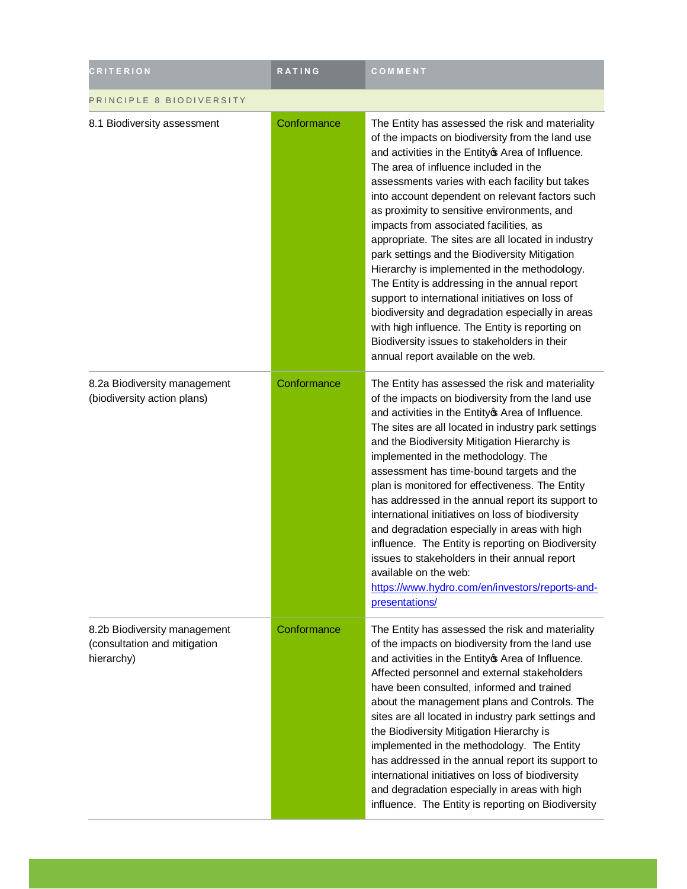| <b>CRITERION</b>                                                           | <b>RATING</b> | COMMENT                                                                                                                                                                                                                                                                                                                                                                                                                                                                                                                                                                                                                                                                                                                                                                                                                                                     |  |
|----------------------------------------------------------------------------|---------------|-------------------------------------------------------------------------------------------------------------------------------------------------------------------------------------------------------------------------------------------------------------------------------------------------------------------------------------------------------------------------------------------------------------------------------------------------------------------------------------------------------------------------------------------------------------------------------------------------------------------------------------------------------------------------------------------------------------------------------------------------------------------------------------------------------------------------------------------------------------|--|
| PRINCIPLE 8 BIODIVERSITY                                                   |               |                                                                                                                                                                                                                                                                                                                                                                                                                                                                                                                                                                                                                                                                                                                                                                                                                                                             |  |
| 8.1 Biodiversity assessment                                                | Conformance   | The Entity has assessed the risk and materiality<br>of the impacts on biodiversity from the land use<br>and activities in the Entity of Area of Influence.<br>The area of influence included in the<br>assessments varies with each facility but takes<br>into account dependent on relevant factors such<br>as proximity to sensitive environments, and<br>impacts from associated facilities, as<br>appropriate. The sites are all located in industry<br>park settings and the Biodiversity Mitigation<br>Hierarchy is implemented in the methodology.<br>The Entity is addressing in the annual report<br>support to international initiatives on loss of<br>biodiversity and degradation especially in areas<br>with high influence. The Entity is reporting on<br>Biodiversity issues to stakeholders in their<br>annual report available on the web. |  |
| 8.2a Biodiversity management<br>(biodiversity action plans)                | Conformance   | The Entity has assessed the risk and materiality<br>of the impacts on biodiversity from the land use<br>and activities in the Entity of Area of Influence.<br>The sites are all located in industry park settings<br>and the Biodiversity Mitigation Hierarchy is<br>implemented in the methodology. The<br>assessment has time-bound targets and the<br>plan is monitored for effectiveness. The Entity<br>has addressed in the annual report its support to<br>international initiatives on loss of biodiversity<br>and degradation especially in areas with high<br>influence. The Entity is reporting on Biodiversity<br>issues to stakeholders in their annual report<br>available on the web:<br>https://www.hydro.com/en/investors/reports-and-<br>presentations/                                                                                    |  |
| 8.2b Biodiversity management<br>(consultation and mitigation<br>hierarchy) | Conformance   | The Entity has assessed the risk and materiality<br>of the impacts on biodiversity from the land use<br>and activities in the Entity of Area of Influence.<br>Affected personnel and external stakeholders<br>have been consulted, informed and trained<br>about the management plans and Controls. The<br>sites are all located in industry park settings and<br>the Biodiversity Mitigation Hierarchy is<br>implemented in the methodology. The Entity<br>has addressed in the annual report its support to<br>international initiatives on loss of biodiversity<br>and degradation especially in areas with high<br>influence. The Entity is reporting on Biodiversity                                                                                                                                                                                   |  |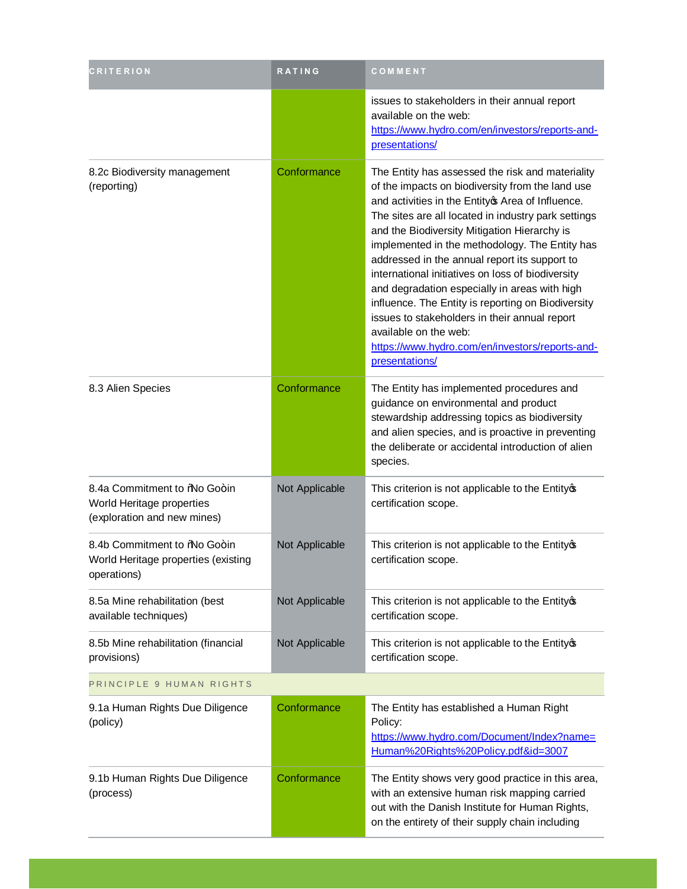| <b>CRITERION</b>                                                                          | RATING         | <b>COMMENT</b>                                                                                                                                                                                                                                                                                                                                                                                                                                                                                                                                                                                                                                                                  |  |
|-------------------------------------------------------------------------------------------|----------------|---------------------------------------------------------------------------------------------------------------------------------------------------------------------------------------------------------------------------------------------------------------------------------------------------------------------------------------------------------------------------------------------------------------------------------------------------------------------------------------------------------------------------------------------------------------------------------------------------------------------------------------------------------------------------------|--|
|                                                                                           |                | issues to stakeholders in their annual report<br>available on the web:<br>https://www.hydro.com/en/investors/reports-and-<br>presentations/                                                                                                                                                                                                                                                                                                                                                                                                                                                                                                                                     |  |
| 8.2c Biodiversity management<br>(reporting)                                               | Conformance    | The Entity has assessed the risk and materiality<br>of the impacts on biodiversity from the land use<br>and activities in the Entity of Area of Influence.<br>The sites are all located in industry park settings<br>and the Biodiversity Mitigation Hierarchy is<br>implemented in the methodology. The Entity has<br>addressed in the annual report its support to<br>international initiatives on loss of biodiversity<br>and degradation especially in areas with high<br>influence. The Entity is reporting on Biodiversity<br>issues to stakeholders in their annual report<br>available on the web:<br>https://www.hydro.com/en/investors/reports-and-<br>presentations/ |  |
| 8.3 Alien Species                                                                         | Conformance    | The Entity has implemented procedures and<br>guidance on environmental and product<br>stewardship addressing topics as biodiversity<br>and alien species, and is proactive in preventing<br>the deliberate or accidental introduction of alien<br>species.                                                                                                                                                                                                                                                                                                                                                                                                                      |  |
| 8.4a Commitment to % lo Go+in<br>World Heritage properties<br>(exploration and new mines) | Not Applicable | This criterion is not applicable to the Entityop<br>certification scope.                                                                                                                                                                                                                                                                                                                                                                                                                                                                                                                                                                                                        |  |
| 8.4b Commitment to %lo Go+in<br>World Heritage properties (existing<br>operations)        | Not Applicable | This criterion is not applicable to the Entityop<br>certification scope.                                                                                                                                                                                                                                                                                                                                                                                                                                                                                                                                                                                                        |  |
| 8.5a Mine rehabilitation (best<br>available techniques)                                   | Not Applicable | This criterion is not applicable to the Entityop<br>certification scope.                                                                                                                                                                                                                                                                                                                                                                                                                                                                                                                                                                                                        |  |
| 8.5b Mine rehabilitation (financial<br>provisions)                                        | Not Applicable | This criterion is not applicable to the Entityop<br>certification scope.                                                                                                                                                                                                                                                                                                                                                                                                                                                                                                                                                                                                        |  |
| PRINCIPLE 9 HUMAN RIGHTS                                                                  |                |                                                                                                                                                                                                                                                                                                                                                                                                                                                                                                                                                                                                                                                                                 |  |
| 9.1a Human Rights Due Diligence<br>(policy)                                               | Conformance    | The Entity has established a Human Right<br>Policy:<br>https://www.hydro.com/Document/Index?name=<br>Human%20Rights%20Policy.pdf&id=3007                                                                                                                                                                                                                                                                                                                                                                                                                                                                                                                                        |  |
| 9.1b Human Rights Due Diligence<br>(process)                                              | Conformance    | The Entity shows very good practice in this area,<br>with an extensive human risk mapping carried<br>out with the Danish Institute for Human Rights,<br>on the entirety of their supply chain including                                                                                                                                                                                                                                                                                                                                                                                                                                                                         |  |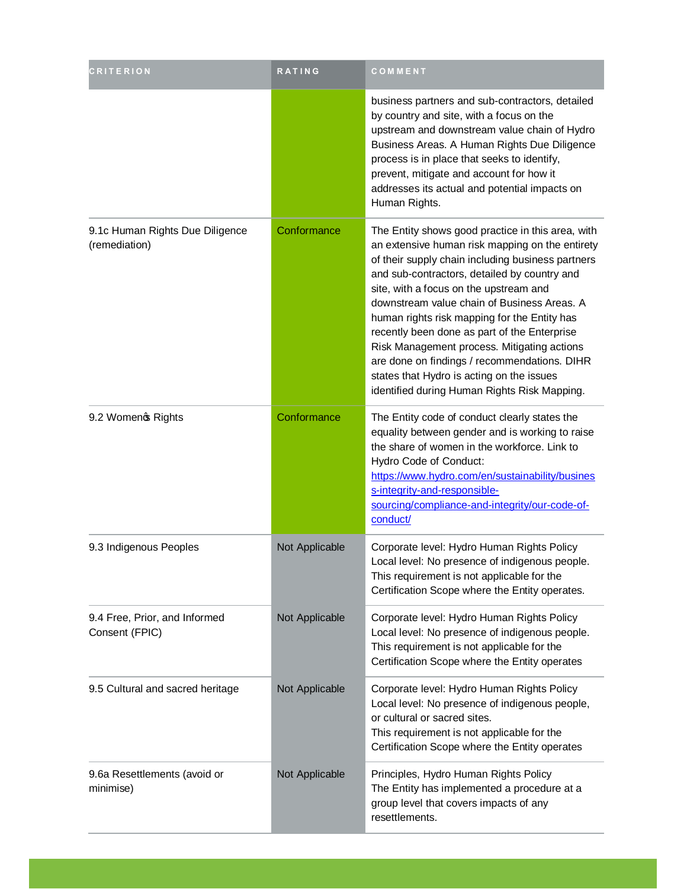| <b>CRITERION</b>                                 | RATING         | COMMENT                                                                                                                                                                                                                                                                                                                                                                                                                                                                                                                                                                                        |
|--------------------------------------------------|----------------|------------------------------------------------------------------------------------------------------------------------------------------------------------------------------------------------------------------------------------------------------------------------------------------------------------------------------------------------------------------------------------------------------------------------------------------------------------------------------------------------------------------------------------------------------------------------------------------------|
|                                                  |                | business partners and sub-contractors, detailed<br>by country and site, with a focus on the<br>upstream and downstream value chain of Hydro<br>Business Areas. A Human Rights Due Diligence<br>process is in place that seeks to identify,<br>prevent, mitigate and account for how it<br>addresses its actual and potential impacts on<br>Human Rights.                                                                                                                                                                                                                                       |
| 9.1c Human Rights Due Diligence<br>(remediation) | Conformance    | The Entity shows good practice in this area, with<br>an extensive human risk mapping on the entirety<br>of their supply chain including business partners<br>and sub-contractors, detailed by country and<br>site, with a focus on the upstream and<br>downstream value chain of Business Areas. A<br>human rights risk mapping for the Entity has<br>recently been done as part of the Enterprise<br>Risk Management process. Mitigating actions<br>are done on findings / recommendations. DIHR<br>states that Hydro is acting on the issues<br>identified during Human Rights Risk Mapping. |
| 9.2 Womeno Rights                                | Conformance    | The Entity code of conduct clearly states the<br>equality between gender and is working to raise<br>the share of women in the workforce. Link to<br>Hydro Code of Conduct:<br>https://www.hydro.com/en/sustainability/busines<br>s-integrity-and-responsible-<br>sourcing/compliance-and-integrity/our-code-of-<br>conduct/                                                                                                                                                                                                                                                                    |
| 9.3 Indigenous Peoples                           | Not Applicable | Corporate level: Hydro Human Rights Policy<br>Local level: No presence of indigenous people.<br>This requirement is not applicable for the<br>Certification Scope where the Entity operates.                                                                                                                                                                                                                                                                                                                                                                                                   |
| 9.4 Free, Prior, and Informed<br>Consent (FPIC)  | Not Applicable | Corporate level: Hydro Human Rights Policy<br>Local level: No presence of indigenous people.<br>This requirement is not applicable for the<br>Certification Scope where the Entity operates                                                                                                                                                                                                                                                                                                                                                                                                    |
| 9.5 Cultural and sacred heritage                 | Not Applicable | Corporate level: Hydro Human Rights Policy<br>Local level: No presence of indigenous people,<br>or cultural or sacred sites.<br>This requirement is not applicable for the<br>Certification Scope where the Entity operates                                                                                                                                                                                                                                                                                                                                                                    |
| 9.6a Resettlements (avoid or<br>minimise)        | Not Applicable | Principles, Hydro Human Rights Policy<br>The Entity has implemented a procedure at a<br>group level that covers impacts of any<br>resettlements.                                                                                                                                                                                                                                                                                                                                                                                                                                               |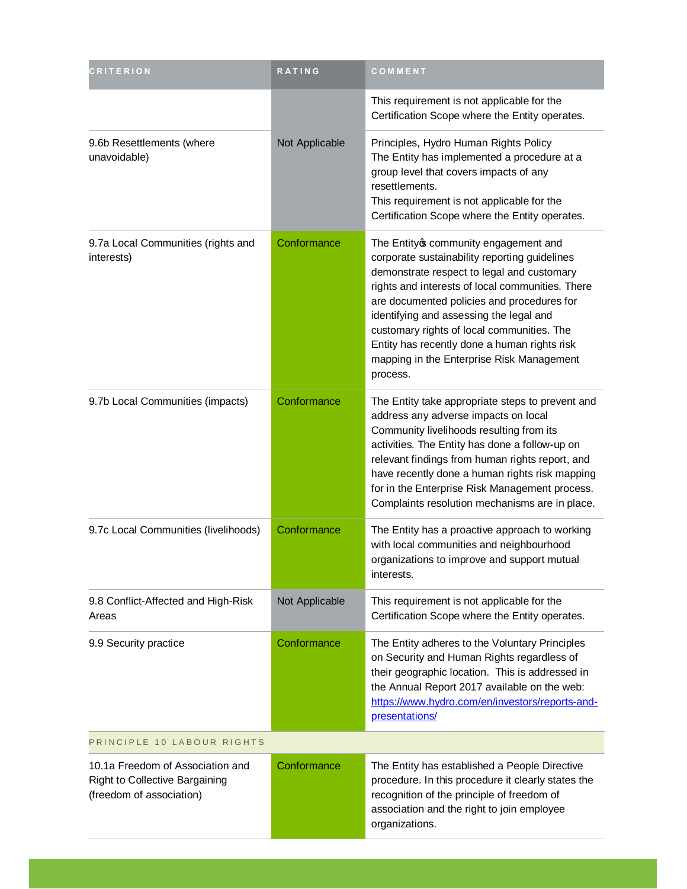| CRITERION                                                                                      | RATING         | COMMENT                                                                                                                                                                                                                                                                                                                                                                                                                                 |
|------------------------------------------------------------------------------------------------|----------------|-----------------------------------------------------------------------------------------------------------------------------------------------------------------------------------------------------------------------------------------------------------------------------------------------------------------------------------------------------------------------------------------------------------------------------------------|
|                                                                                                |                | This requirement is not applicable for the<br>Certification Scope where the Entity operates.                                                                                                                                                                                                                                                                                                                                            |
| 9.6b Resettlements (where<br>unavoidable)                                                      | Not Applicable | Principles, Hydro Human Rights Policy<br>The Entity has implemented a procedure at a<br>group level that covers impacts of any<br>resettlements.<br>This requirement is not applicable for the<br>Certification Scope where the Entity operates.                                                                                                                                                                                        |
| 9.7a Local Communities (rights and<br>interests)                                               | Conformance    | The Entity ocommunity engagement and<br>corporate sustainability reporting guidelines<br>demonstrate respect to legal and customary<br>rights and interests of local communities. There<br>are documented policies and procedures for<br>identifying and assessing the legal and<br>customary rights of local communities. The<br>Entity has recently done a human rights risk<br>mapping in the Enterprise Risk Management<br>process. |
| 9.7b Local Communities (impacts)                                                               | Conformance    | The Entity take appropriate steps to prevent and<br>address any adverse impacts on local<br>Community livelihoods resulting from its<br>activities. The Entity has done a follow-up on<br>relevant findings from human rights report, and<br>have recently done a human rights risk mapping<br>for in the Enterprise Risk Management process.<br>Complaints resolution mechanisms are in place.                                         |
| 9.7c Local Communities (livelihoods)                                                           | Conformance    | The Entity has a proactive approach to working<br>with local communities and neighbourhood<br>organizations to improve and support mutual<br>interests.                                                                                                                                                                                                                                                                                 |
| 9.8 Conflict-Affected and High-Risk<br>Areas                                                   | Not Applicable | This requirement is not applicable for the<br>Certification Scope where the Entity operates.                                                                                                                                                                                                                                                                                                                                            |
| 9.9 Security practice                                                                          | Conformance    | The Entity adheres to the Voluntary Principles<br>on Security and Human Rights regardless of<br>their geographic location. This is addressed in<br>the Annual Report 2017 available on the web:<br>https://www.hydro.com/en/investors/reports-and-<br>presentations/                                                                                                                                                                    |
| PRINCIPLE 10 LABOUR RIGHTS                                                                     |                |                                                                                                                                                                                                                                                                                                                                                                                                                                         |
| 10.1a Freedom of Association and<br>Right to Collective Bargaining<br>(freedom of association) | Conformance    | The Entity has established a People Directive<br>procedure. In this procedure it clearly states the<br>recognition of the principle of freedom of<br>association and the right to join employee<br>organizations.                                                                                                                                                                                                                       |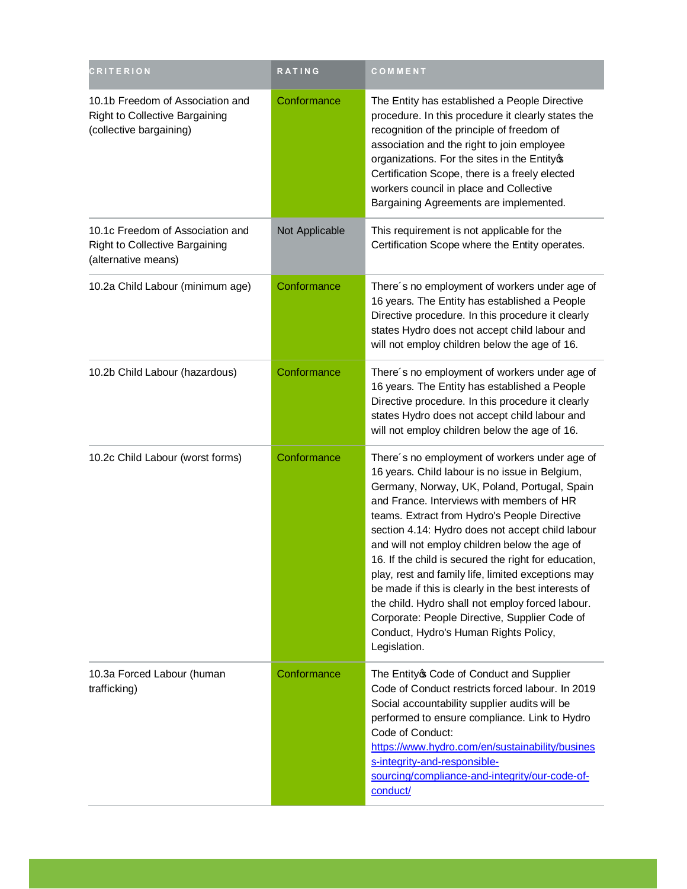| <b>CRITERION</b>                                                                              | RATING         | COMMENT                                                                                                                                                                                                                                                                                                                                                                                                                                                                                                                                                                                                                                                                              |
|-----------------------------------------------------------------------------------------------|----------------|--------------------------------------------------------------------------------------------------------------------------------------------------------------------------------------------------------------------------------------------------------------------------------------------------------------------------------------------------------------------------------------------------------------------------------------------------------------------------------------------------------------------------------------------------------------------------------------------------------------------------------------------------------------------------------------|
| 10.1b Freedom of Association and<br>Right to Collective Bargaining<br>(collective bargaining) | Conformance    | The Entity has established a People Directive<br>procedure. In this procedure it clearly states the<br>recognition of the principle of freedom of<br>association and the right to join employee<br>organizations. For the sites in the Entityop<br>Certification Scope, there is a freely elected<br>workers council in place and Collective<br>Bargaining Agreements are implemented.                                                                                                                                                                                                                                                                                               |
| 10.1c Freedom of Association and<br>Right to Collective Bargaining<br>(alternative means)     | Not Applicable | This requirement is not applicable for the<br>Certification Scope where the Entity operates.                                                                                                                                                                                                                                                                                                                                                                                                                                                                                                                                                                                         |
| 10.2a Child Labour (minimum age)                                                              | Conformance    | There's no employment of workers under age of<br>16 years. The Entity has established a People<br>Directive procedure. In this procedure it clearly<br>states Hydro does not accept child labour and<br>will not employ children below the age of 16.                                                                                                                                                                                                                                                                                                                                                                                                                                |
| 10.2b Child Labour (hazardous)                                                                | Conformance    | There's no employment of workers under age of<br>16 years. The Entity has established a People<br>Directive procedure. In this procedure it clearly<br>states Hydro does not accept child labour and<br>will not employ children below the age of 16.                                                                                                                                                                                                                                                                                                                                                                                                                                |
| 10.2c Child Labour (worst forms)                                                              | Conformance    | There's no employment of workers under age of<br>16 years. Child labour is no issue in Belgium,<br>Germany, Norway, UK, Poland, Portugal, Spain<br>and France. Interviews with members of HR<br>teams. Extract from Hydro's People Directive<br>section 4.14: Hydro does not accept child labour<br>and will not employ children below the age of<br>16. If the child is secured the right for education,<br>play, rest and family life, limited exceptions may<br>be made if this is clearly in the best interests of<br>the child. Hydro shall not employ forced labour.<br>Corporate: People Directive, Supplier Code of<br>Conduct, Hydro's Human Rights Policy,<br>Legislation. |
| 10.3a Forced Labour (human<br>trafficking)                                                    | Conformance    | The Entity of Code of Conduct and Supplier<br>Code of Conduct restricts forced labour. In 2019<br>Social accountability supplier audits will be<br>performed to ensure compliance. Link to Hydro<br>Code of Conduct:<br>https://www.hydro.com/en/sustainability/busines<br>s-integrity-and-responsible-<br>sourcing/compliance-and-integrity/our-code-of-<br>conduct/                                                                                                                                                                                                                                                                                                                |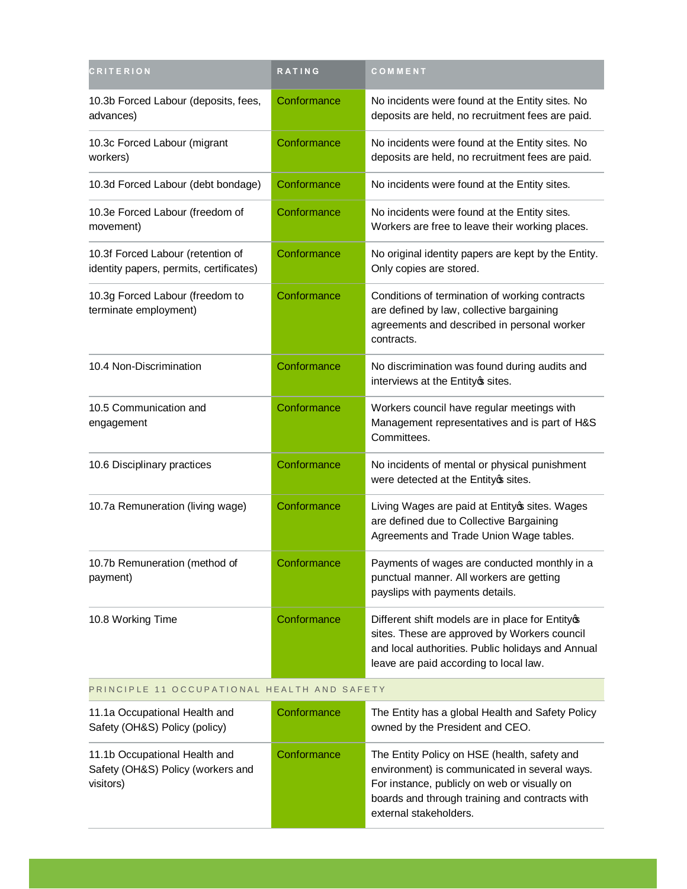| CRITERION                                                                    | RATING      | COMMENT                                                                                                                                                                                         |
|------------------------------------------------------------------------------|-------------|-------------------------------------------------------------------------------------------------------------------------------------------------------------------------------------------------|
| 10.3b Forced Labour (deposits, fees,<br>advances)                            | Conformance | No incidents were found at the Entity sites. No<br>deposits are held, no recruitment fees are paid.                                                                                             |
| 10.3c Forced Labour (migrant<br>workers)                                     | Conformance | No incidents were found at the Entity sites. No<br>deposits are held, no recruitment fees are paid.                                                                                             |
| 10.3d Forced Labour (debt bondage)                                           | Conformance | No incidents were found at the Entity sites.                                                                                                                                                    |
| 10.3e Forced Labour (freedom of<br>movement)                                 | Conformance | No incidents were found at the Entity sites.<br>Workers are free to leave their working places.                                                                                                 |
| 10.3f Forced Labour (retention of<br>identity papers, permits, certificates) | Conformance | No original identity papers are kept by the Entity.<br>Only copies are stored.                                                                                                                  |
| 10.3g Forced Labour (freedom to<br>terminate employment)                     | Conformance | Conditions of termination of working contracts<br>are defined by law, collective bargaining<br>agreements and described in personal worker<br>contracts.                                        |
| 10.4 Non-Discrimination                                                      | Conformance | No discrimination was found during audits and<br>interviews at the Entity os sites.                                                                                                             |
| 10.5 Communication and<br>engagement                                         | Conformance | Workers council have regular meetings with<br>Management representatives and is part of H&S<br>Committees.                                                                                      |
| 10.6 Disciplinary practices                                                  | Conformance | No incidents of mental or physical punishment<br>were detected at the Entitycs sites.                                                                                                           |
| 10.7a Remuneration (living wage)                                             | Conformance | Living Wages are paid at Entityos sites. Wages<br>are defined due to Collective Bargaining<br>Agreements and Trade Union Wage tables.                                                           |
| 10.7b Remuneration (method of<br>payment)                                    | Conformance | Payments of wages are conducted monthly in a<br>punctual manner. All workers are getting<br>payslips with payments details.                                                                     |
| 10.8 Working Time                                                            | Conformance | Different shift models are in place for Entityop<br>sites. These are approved by Workers council<br>and local authorities. Public holidays and Annual<br>leave are paid according to local law. |

### PRINCIPLE 11 OCCUPATIONAL HEALTH AND SAFETY

| 11.1a Occupational Health and<br>Safety (OH&S) Policy (policy)                  | Conformance | The Entity has a global Health and Safety Policy<br>owned by the President and CEO.                                                                                                                                       |
|---------------------------------------------------------------------------------|-------------|---------------------------------------------------------------------------------------------------------------------------------------------------------------------------------------------------------------------------|
| 11.1b Occupational Health and<br>Safety (OH&S) Policy (workers and<br>visitors) | Conformance | The Entity Policy on HSE (health, safety and<br>environment) is communicated in several ways.<br>For instance, publicly on web or visually on<br>boards and through training and contracts with<br>external stakeholders. |